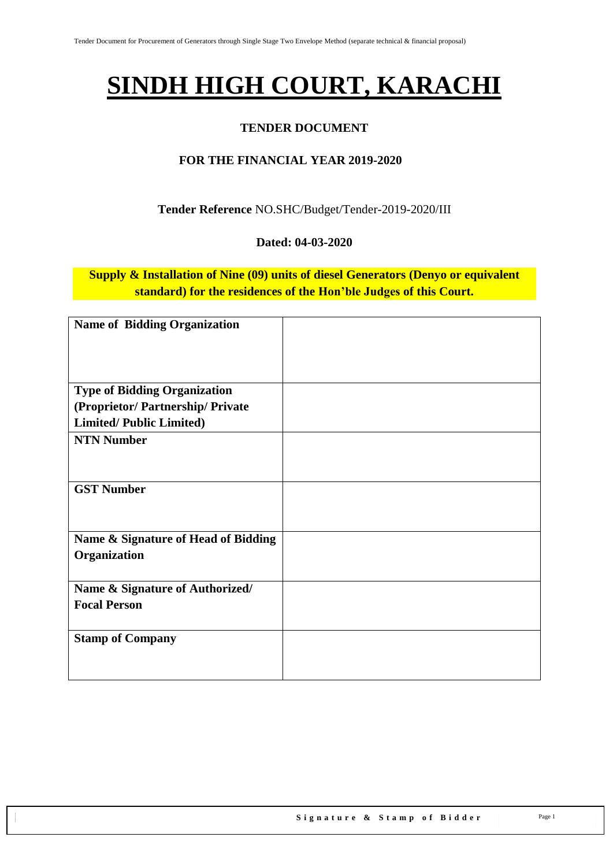# **SINDH HIGH COURT, KARACHI**

### **TENDER DOCUMENT**

### **FOR THE FINANCIAL YEAR 2019-2020**

### **Tender Reference** NO.SHC/Budget/Tender-2019-2020/III

#### **Dated: 04-03-2020**

**Supply & Installation of Nine (09) units of diesel Generators (Denyo or equivalent standard) for the residences of the Hon'ble Judges of this Court.**

| <b>Name of Bidding Organization</b> |  |
|-------------------------------------|--|
|                                     |  |
|                                     |  |
|                                     |  |
|                                     |  |
| <b>Type of Bidding Organization</b> |  |
| (Proprietor/Partnership/Private     |  |
| <b>Limited/Public Limited)</b>      |  |
| <b>NTN Number</b>                   |  |
|                                     |  |
|                                     |  |
| <b>GST Number</b>                   |  |
|                                     |  |
|                                     |  |
| Name & Signature of Head of Bidding |  |
|                                     |  |
| Organization                        |  |
|                                     |  |
| Name & Signature of Authorized/     |  |
| <b>Focal Person</b>                 |  |
|                                     |  |
| <b>Stamp of Company</b>             |  |
|                                     |  |
|                                     |  |
|                                     |  |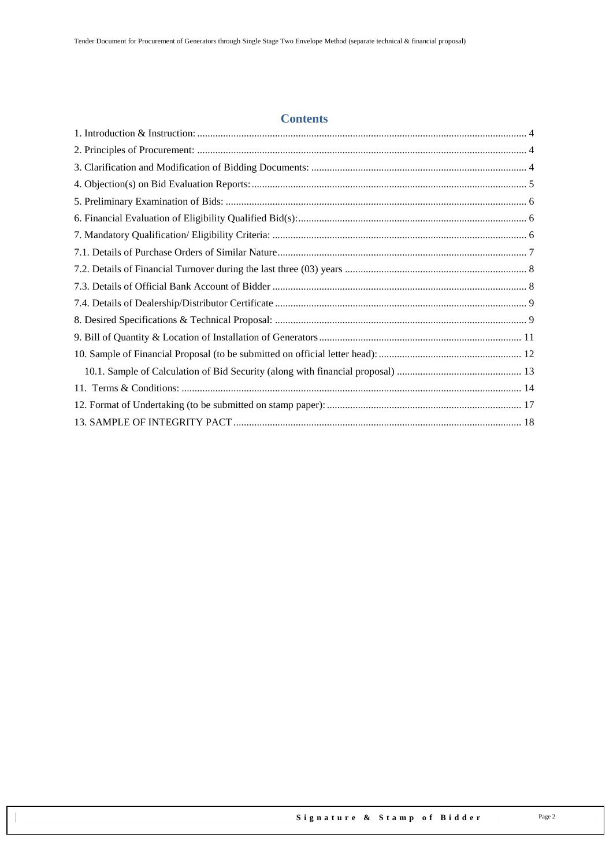#### **Contents**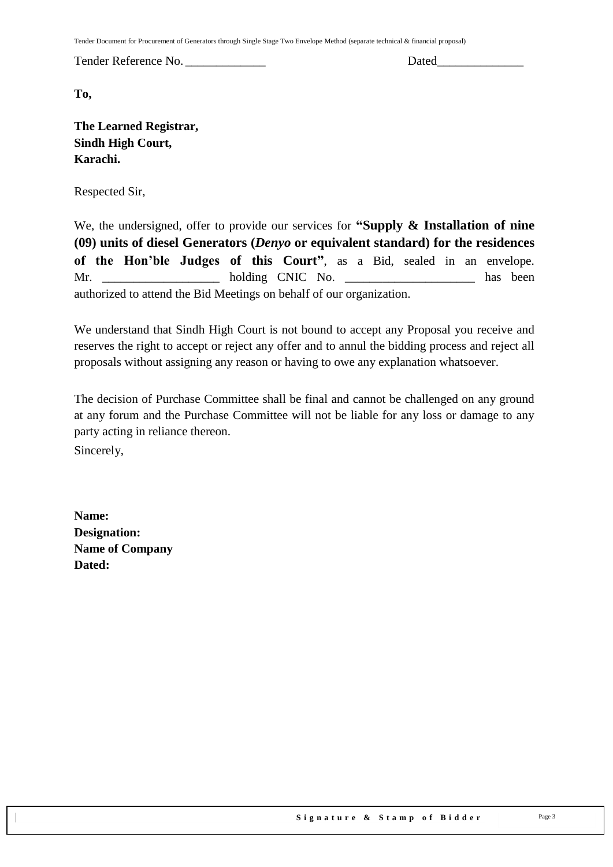Tender Document for Procurement of Generators through Single Stage Two Envelope Method (separate technical & financial proposal)

Tender Reference No. \_\_\_\_\_\_\_\_\_\_\_\_\_ Dated\_\_\_\_\_\_\_\_\_\_\_\_\_\_

**To,** 

**The Learned Registrar, Sindh High Court, Karachi.**

Respected Sir,

We, the undersigned, offer to provide our services for **"Supply & Installation of nine (09) units of diesel Generators (***Denyo* **or equivalent standard) for the residences of the Hon'ble Judges of this Court"**, as a Bid, sealed in an envelope. Mr. holding CNIC No. has been authorized to attend the Bid Meetings on behalf of our organization.

We understand that Sindh High Court is not bound to accept any Proposal you receive and reserves the right to accept or reject any offer and to annul the bidding process and reject all proposals without assigning any reason or having to owe any explanation whatsoever.

The decision of Purchase Committee shall be final and cannot be challenged on any ground at any forum and the Purchase Committee will not be liable for any loss or damage to any party acting in reliance thereon.

Sincerely,

**Name: Designation: Name of Company Dated:**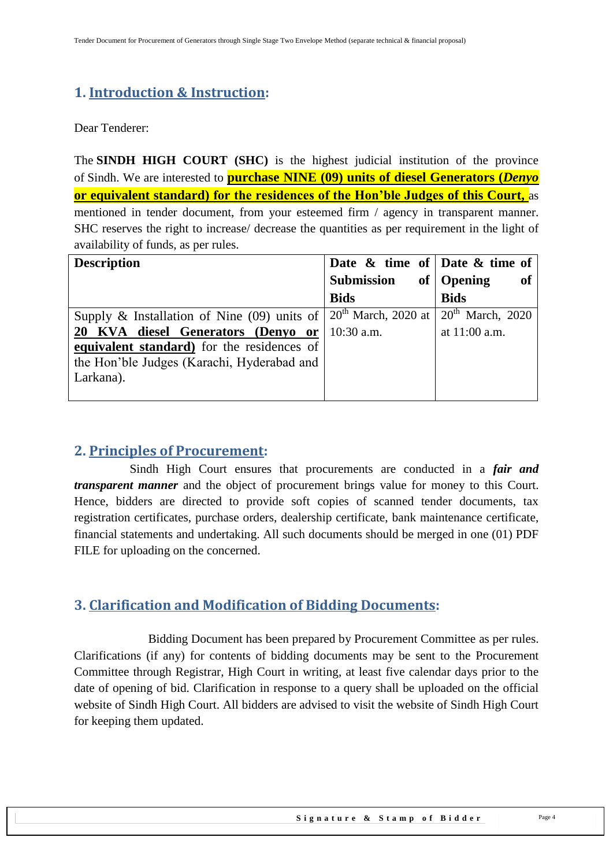### <span id="page-3-0"></span>**1. Introduction & Instruction:**

Dear Tenderer:

The **SINDH HIGH COURT (SHC)** is the highest judicial institution of the province of [Sindh.](https://en.wikipedia.org/wiki/Sindh) We are interested to **purchase NINE (09) units of diesel Generators (***Denyo*  **or equivalent standard) for the residences of the Hon'ble Judges of this Court,** as mentioned in tender document, from your esteemed firm / agency in transparent manner. SHC reserves the right to increase/ decrease the quantities as per requirement in the light of availability of funds, as per rules.

| <b>Description</b>                                                                                     | Date $\&$ time of Date $\&$ time of |                    |
|--------------------------------------------------------------------------------------------------------|-------------------------------------|--------------------|
|                                                                                                        | Submission                          | of   Opening<br>of |
|                                                                                                        | <b>Bids</b>                         | <b>Bids</b>        |
| Supply & Installation of Nine (09) units of $\vert 20^{th}$ March, 2020 at $\vert 20^{th}$ March, 2020 |                                     |                    |
| 20 KVA diesel Generators (Denyo or                                                                     | $10:30$ a.m.                        | at 11:00 a.m.      |
| equivalent standard) for the residences of                                                             |                                     |                    |
| the Hon'ble Judges (Karachi, Hyderabad and                                                             |                                     |                    |
| Larkana).                                                                                              |                                     |                    |
|                                                                                                        |                                     |                    |

### <span id="page-3-1"></span>**2. Principles of Procurement:**

 Sindh High Court ensures that procurements are conducted in a *fair and transparent manner* and the object of procurement brings value for money to this Court. Hence, bidders are directed to provide soft copies of scanned tender documents, tax registration certificates, purchase orders, dealership certificate, bank maintenance certificate, financial statements and undertaking. All such documents should be merged in one (01) PDF FILE for uploading on the concerned.

### <span id="page-3-2"></span>**3. Clarification and Modification of Bidding Documents:**

Bidding Document has been prepared by Procurement Committee as per rules. Clarifications (if any) for contents of bidding documents may be sent to the Procurement Committee through Registrar, High Court in writing, at least five calendar days prior to the date of opening of bid. Clarification in response to a query shall be uploaded on the official website of Sindh High Court. All bidders are advised to visit the website of Sindh High Court for keeping them updated.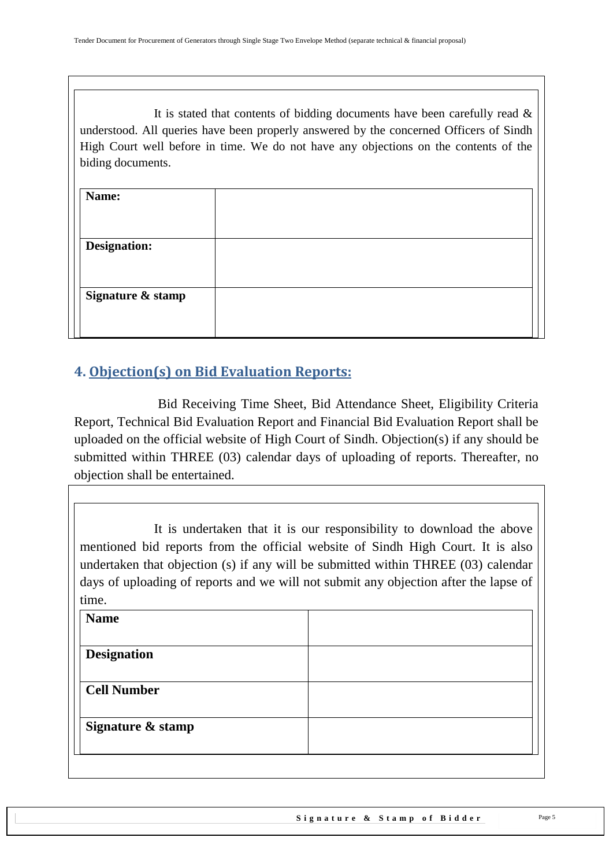It is stated that contents of bidding documents have been carefully read  $\&$ understood. All queries have been properly answered by the concerned Officers of Sindh High Court well before in time. We do not have any objections on the contents of the biding documents.

| Name:               |  |
|---------------------|--|
|                     |  |
| <b>Designation:</b> |  |
|                     |  |
| Signature & stamp   |  |
|                     |  |

## <span id="page-4-0"></span>**4. Objection(s) on Bid Evaluation Reports:**

 Bid Receiving Time Sheet, Bid Attendance Sheet, Eligibility Criteria Report, Technical Bid Evaluation Report and Financial Bid Evaluation Report shall be uploaded on the official website of High Court of Sindh. Objection(s) if any should be submitted within THREE (03) calendar days of uploading of reports. Thereafter, no objection shall be entertained.

It is undertaken that it is our responsibility to download the above mentioned bid reports from the official website of Sindh High Court. It is also undertaken that objection (s) if any will be submitted within THREE (03) calendar days of uploading of reports and we will not submit any objection after the lapse of time.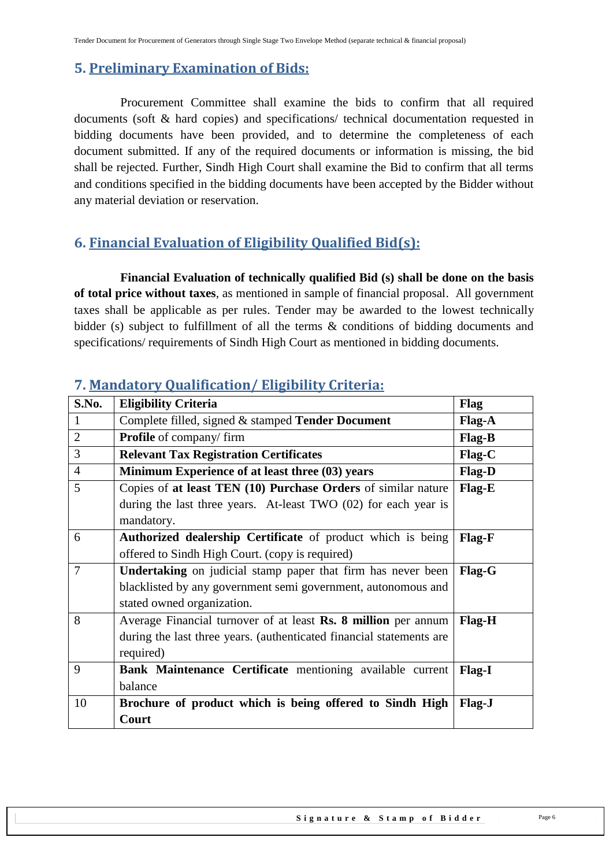### <span id="page-5-0"></span>**5. Preliminary Examination of Bids:**

 Procurement Committee shall examine the bids to confirm that all required documents (soft & hard copies) and specifications/ technical documentation requested in bidding documents have been provided, and to determine the completeness of each document submitted. If any of the required documents or information is missing, the bid shall be rejected. Further, Sindh High Court shall examine the Bid to confirm that all terms and conditions specified in the bidding documents have been accepted by the Bidder without any material deviation or reservation.

### <span id="page-5-1"></span>**6. Financial Evaluation of Eligibility Qualified Bid(s):**

 **Financial Evaluation of technically qualified Bid (s) shall be done on the basis of total price without taxes**, as mentioned in sample of financial proposal. All government taxes shall be applicable as per rules. Tender may be awarded to the lowest technically bidder (s) subject to fulfillment of all the terms & conditions of bidding documents and specifications/ requirements of Sindh High Court as mentioned in bidding documents.

| S.No.          | <b>Eligibility Criteria</b>                                          | Flag          |
|----------------|----------------------------------------------------------------------|---------------|
| 1              | Complete filled, signed & stamped Tender Document                    | <b>Flag-A</b> |
| $\overline{2}$ | <b>Profile</b> of company/firm                                       | Flag-B        |
| 3              | <b>Relevant Tax Registration Certificates</b>                        | $Flag-C$      |
| $\overline{4}$ | Minimum Experience of at least three (03) years                      | <b>Flag-D</b> |
| 5              | Copies of at least TEN (10) Purchase Orders of similar nature        | Flag-E        |
|                | during the last three years. At-least TWO $(02)$ for each year is    |               |
|                | mandatory.                                                           |               |
| 6              | Authorized dealership Certificate of product which is being          | <b>Flag-F</b> |
|                | offered to Sindh High Court. (copy is required)                      |               |
| 7              | <b>Undertaking</b> on judicial stamp paper that firm has never been  | <b>Flag-G</b> |
|                | blacklisted by any government semi government, autonomous and        |               |
|                | stated owned organization.                                           |               |
| 8              | Average Financial turnover of at least Rs. 8 million per annum       | Flag-H        |
|                | during the last three years. (authenticated financial statements are |               |
|                | required)                                                            |               |
| 9              | Bank Maintenance Certificate mentioning available current            | <b>Flag-I</b> |
|                | balance                                                              |               |
| 10             | Brochure of product which is being offered to Sindh High             | Flag-J        |
|                | Court                                                                |               |

### <span id="page-5-2"></span>**7. Mandatory Qualification/ Eligibility Criteria:**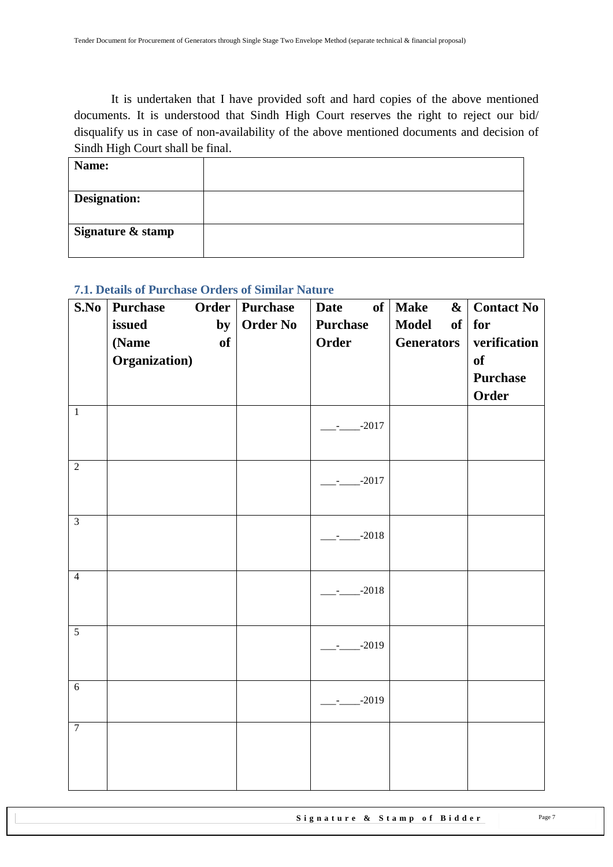It is undertaken that I have provided soft and hard copies of the above mentioned documents. It is understood that Sindh High Court reserves the right to reject our bid/ disqualify us in case of non-availability of the above mentioned documents and decision of Sindh High Court shall be final.

| Name:               |  |
|---------------------|--|
| <b>Designation:</b> |  |
| Signature & stamp   |  |

### <span id="page-6-0"></span>**7.1. Details of Purchase Orders of Similar Nature**

| S.No           | <b>Purchase</b>             | Order   Purchase | <b>Date</b>                     | of   Make                               | $\&$ Contact No     |
|----------------|-----------------------------|------------------|---------------------------------|-----------------------------------------|---------------------|
|                | issued<br>by<br>of<br>(Name | <b>Order No</b>  | <b>Purchase</b><br><b>Order</b> | <b>Model</b><br>of<br><b>Generators</b> | for<br>verification |
|                | Organization)               |                  |                                 |                                         | of                  |
|                |                             |                  |                                 |                                         | <b>Purchase</b>     |
|                |                             |                  |                                 |                                         | Order               |
| $\mathbf{1}$   |                             |                  | $-2017$<br>$\sim$               |                                         |                     |
|                |                             |                  |                                 |                                         |                     |
| $\overline{2}$ |                             |                  | $-2017$                         |                                         |                     |
|                |                             |                  |                                 |                                         |                     |
| $\overline{3}$ |                             |                  |                                 |                                         |                     |
|                |                             |                  | $-2018$                         |                                         |                     |
| $\overline{4}$ |                             |                  |                                 |                                         |                     |
|                |                             |                  | $-2018$                         |                                         |                     |
|                |                             |                  |                                 |                                         |                     |
| 5              |                             |                  | $-2019$<br>$\sim$               |                                         |                     |
|                |                             |                  |                                 |                                         |                     |
| $\overline{6}$ |                             |                  | $-2019$                         |                                         |                     |
|                |                             |                  |                                 |                                         |                     |
| $\overline{7}$ |                             |                  |                                 |                                         |                     |
|                |                             |                  |                                 |                                         |                     |
|                |                             |                  |                                 |                                         |                     |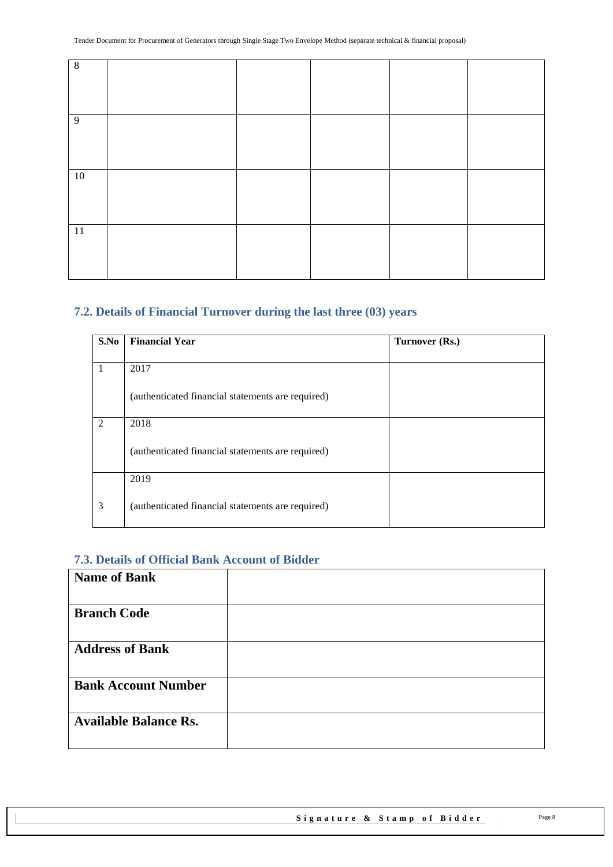| $\,8\,$        |  |  |  |
|----------------|--|--|--|
|                |  |  |  |
| $\overline{9}$ |  |  |  |
|                |  |  |  |
| 10             |  |  |  |
|                |  |  |  |
| 11             |  |  |  |
|                |  |  |  |

### <span id="page-7-0"></span>**7.2. Details of Financial Turnover during the last three (03) years**

| S.No | <b>Financial Year</b>                             | Turnover (Rs.) |
|------|---------------------------------------------------|----------------|
|      |                                                   |                |
|      | 2017                                              |                |
|      | (authenticated financial statements are required) |                |
| 2    | 2018                                              |                |
|      | (authenticated financial statements are required) |                |
|      | 2019                                              |                |
| 3    | (authenticated financial statements are required) |                |

#### <span id="page-7-1"></span>**7.3. Details of Official Bank Account of Bidder**

| <b>Name of Bank</b>          |  |
|------------------------------|--|
| <b>Branch Code</b>           |  |
| <b>Address of Bank</b>       |  |
| <b>Bank Account Number</b>   |  |
| <b>Available Balance Rs.</b> |  |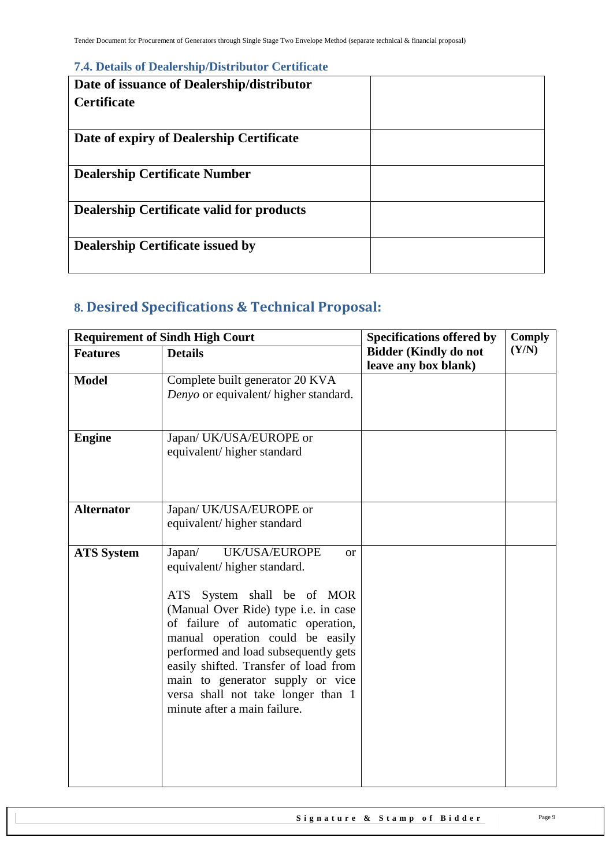#### <span id="page-8-0"></span>**7.4. Details of Dealership/Distributor Certificate**

| Date of issuance of Dealership/distributor       |  |
|--------------------------------------------------|--|
| <b>Certificate</b>                               |  |
|                                                  |  |
| Date of expiry of Dealership Certificate         |  |
|                                                  |  |
| <b>Dealership Certificate Number</b>             |  |
|                                                  |  |
| <b>Dealership Certificate valid for products</b> |  |
|                                                  |  |
| <b>Dealership Certificate issued by</b>          |  |
|                                                  |  |

# <span id="page-8-1"></span>**8. Desired Specifications & Technical Proposal:**

|                   | <b>Requirement of Sindh High Court</b>                                     | <b>Specifications offered by</b> | <b>Comply</b> |
|-------------------|----------------------------------------------------------------------------|----------------------------------|---------------|
| <b>Features</b>   | <b>Details</b>                                                             | <b>Bidder (Kindly do not</b>     | (Y/N)         |
|                   |                                                                            | leave any box blank)             |               |
| <b>Model</b>      | Complete built generator 20 KVA                                            |                                  |               |
|                   | Denyo or equivalent/ higher standard.                                      |                                  |               |
|                   |                                                                            |                                  |               |
|                   |                                                                            |                                  |               |
| <b>Engine</b>     | Japan/ UK/USA/EUROPE or                                                    |                                  |               |
|                   | equivalent/higher standard                                                 |                                  |               |
|                   |                                                                            |                                  |               |
|                   |                                                                            |                                  |               |
|                   |                                                                            |                                  |               |
| <b>Alternator</b> | Japan/ UK/USA/EUROPE or                                                    |                                  |               |
|                   | equivalent/higher standard                                                 |                                  |               |
|                   |                                                                            |                                  |               |
| <b>ATS System</b> | <b>UK/USA/EUROPE</b><br>Japan/<br><b>or</b>                                |                                  |               |
|                   | equivalent/higher standard.                                                |                                  |               |
|                   |                                                                            |                                  |               |
|                   | System shall be of MOR<br>ATS                                              |                                  |               |
|                   | (Manual Over Ride) type i.e. in case<br>of failure of automatic operation, |                                  |               |
|                   | manual operation could be easily                                           |                                  |               |
|                   | performed and load subsequently gets                                       |                                  |               |
|                   | easily shifted. Transfer of load from                                      |                                  |               |
|                   | main to generator supply or vice                                           |                                  |               |
|                   | versa shall not take longer than 1                                         |                                  |               |
|                   | minute after a main failure.                                               |                                  |               |
|                   |                                                                            |                                  |               |
|                   |                                                                            |                                  |               |
|                   |                                                                            |                                  |               |
|                   |                                                                            |                                  |               |
|                   |                                                                            |                                  |               |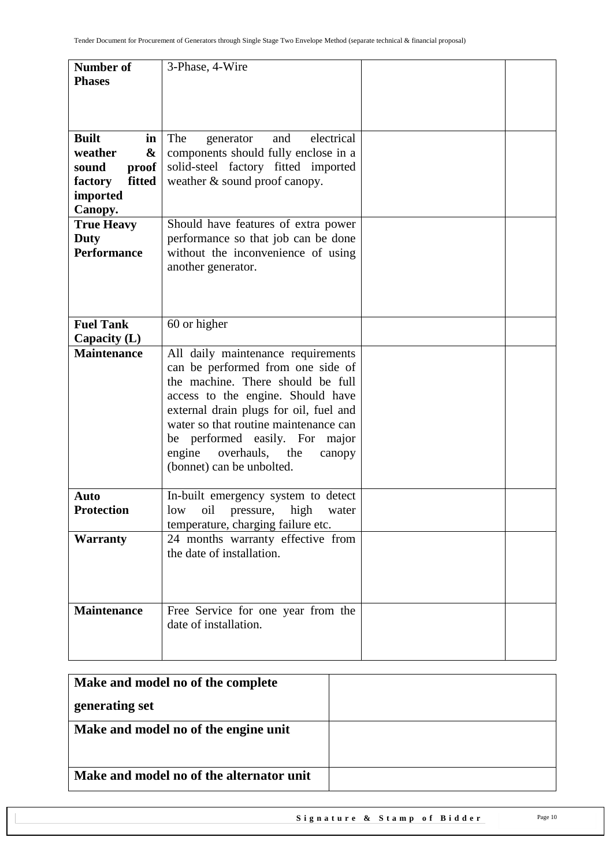| <b>Number of</b>                     | 3-Phase, 4-Wire                          |  |
|--------------------------------------|------------------------------------------|--|
| <b>Phases</b>                        |                                          |  |
|                                      |                                          |  |
|                                      |                                          |  |
|                                      |                                          |  |
| <b>Built</b><br>in                   | electrical<br>The<br>and<br>generator    |  |
| weather<br>&                         | components should fully enclose in a     |  |
| proof<br>sound                       | solid-steel factory fitted imported      |  |
| fitted<br>factory                    | weather & sound proof canopy.            |  |
| imported                             |                                          |  |
| Canopy.                              |                                          |  |
| <b>True Heavy</b>                    | Should have features of extra power      |  |
| Duty                                 | performance so that job can be done      |  |
| <b>Performance</b>                   | without the inconvenience of using       |  |
|                                      | another generator.                       |  |
|                                      |                                          |  |
|                                      |                                          |  |
|                                      |                                          |  |
| <b>Fuel Tank</b>                     | 60 or higher                             |  |
|                                      |                                          |  |
| Capacity $(L)$<br><b>Maintenance</b> | All daily maintenance requirements       |  |
|                                      | can be performed from one side of        |  |
|                                      | the machine. There should be full        |  |
|                                      | access to the engine. Should have        |  |
|                                      | external drain plugs for oil, fuel and   |  |
|                                      | water so that routine maintenance can    |  |
|                                      | be performed easily. For                 |  |
|                                      | major<br>overhauls, the<br>engine        |  |
|                                      | canopy<br>(bonnet) can be unbolted.      |  |
|                                      |                                          |  |
| Auto                                 | In-built emergency system to detect      |  |
| <b>Protection</b>                    | oil<br>high<br>low<br>pressure,<br>water |  |
|                                      | temperature, charging failure etc.       |  |
| <b>Warranty</b>                      | 24 months warranty effective from        |  |
|                                      | the date of installation.                |  |
|                                      |                                          |  |
|                                      |                                          |  |
|                                      |                                          |  |
| <b>Maintenance</b>                   | Free Service for one year from the       |  |
|                                      | date of installation.                    |  |
|                                      |                                          |  |
|                                      |                                          |  |

| Make and model no of the complete        |  |
|------------------------------------------|--|
| generating set                           |  |
| Make and model no of the engine unit     |  |
| Make and model no of the alternator unit |  |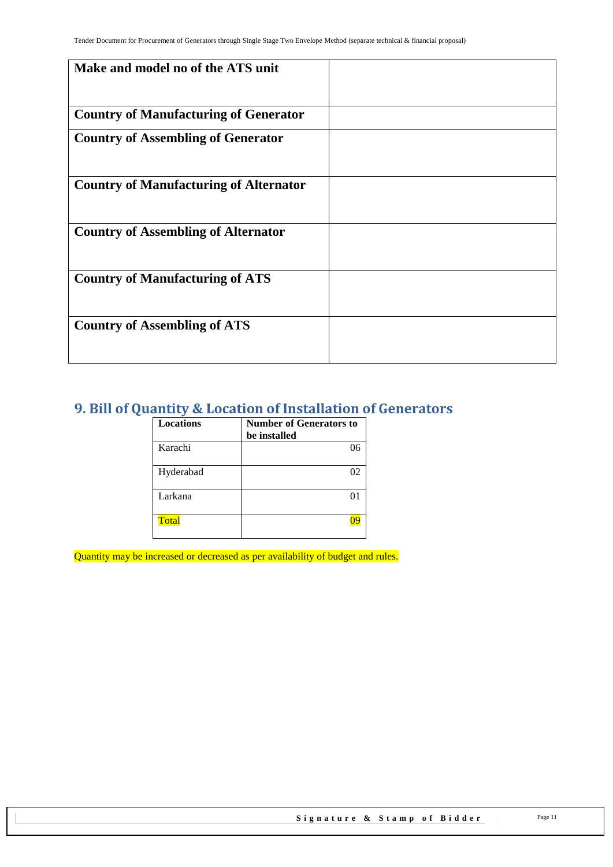| Make and model no of the ATS unit             |  |
|-----------------------------------------------|--|
| <b>Country of Manufacturing of Generator</b>  |  |
| <b>Country of Assembling of Generator</b>     |  |
| <b>Country of Manufacturing of Alternator</b> |  |
| <b>Country of Assembling of Alternator</b>    |  |
| <b>Country of Manufacturing of ATS</b>        |  |
| <b>Country of Assembling of ATS</b>           |  |

### <span id="page-10-0"></span>**9. Bill of Quantity & Location of Installation of Generators**

| <b>Locations</b> | <b>Number of Generators to</b> |
|------------------|--------------------------------|
|                  | be installed                   |
| Karachi          | በհ                             |
| Hyderabad        | 02                             |
| Larkana          | $^{\Omega}$                    |
| Total            |                                |

Quantity may be increased or decreased as per availability of budget and rules.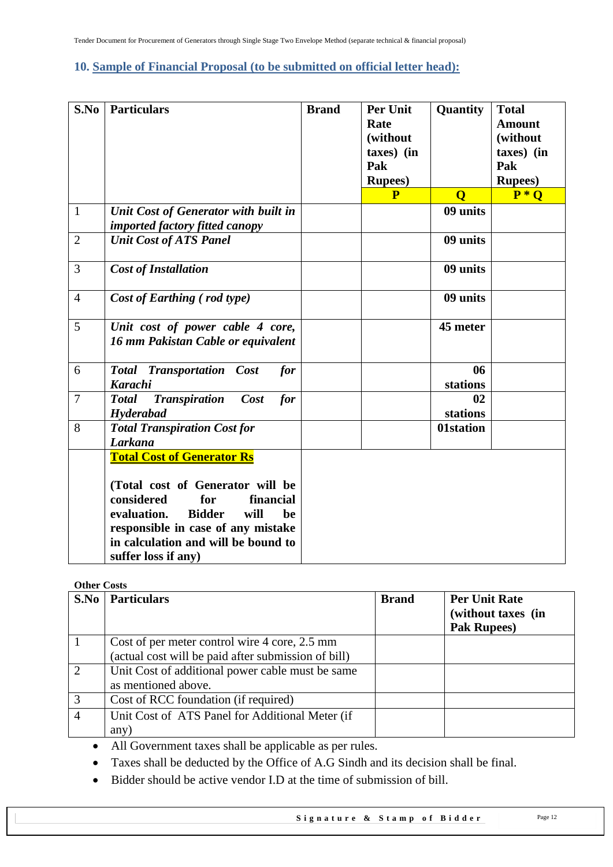### <span id="page-11-0"></span>**10. Sample of Financial Proposal (to be submitted on official letter head):**

| S.No           | <b>Particulars</b>                                                                                                                                                                                                                                        | <b>Brand</b> | <b>Per Unit</b><br>Rate<br>(without<br>taxes) (in<br>Pak<br><b>Rupees</b> )<br>P | Quantity                | <b>Total</b><br><b>Amount</b><br>(without<br>taxes) (in<br>Pak<br><b>Rupees</b> )<br>$\overline{P^*Q}$ |
|----------------|-----------------------------------------------------------------------------------------------------------------------------------------------------------------------------------------------------------------------------------------------------------|--------------|----------------------------------------------------------------------------------|-------------------------|--------------------------------------------------------------------------------------------------------|
|                |                                                                                                                                                                                                                                                           |              |                                                                                  | $\overline{\mathbf{O}}$ |                                                                                                        |
| $\mathbf{1}$   | Unit Cost of Generator with built in<br><i>imported factory fitted canopy</i>                                                                                                                                                                             |              |                                                                                  | 09 units                |                                                                                                        |
| $\overline{2}$ | <b>Unit Cost of ATS Panel</b>                                                                                                                                                                                                                             |              |                                                                                  | 09 units                |                                                                                                        |
| 3              | <b>Cost of Installation</b>                                                                                                                                                                                                                               |              |                                                                                  | 09 units                |                                                                                                        |
| $\overline{4}$ | Cost of Earthing (rod type)                                                                                                                                                                                                                               |              |                                                                                  | 09 units                |                                                                                                        |
| 5              | Unit cost of power cable 4 core,<br>16 mm Pakistan Cable or equivalent                                                                                                                                                                                    |              |                                                                                  | 45 meter                |                                                                                                        |
| 6              | <b>Total Transportation Cost</b><br>for<br><b>Karachi</b>                                                                                                                                                                                                 |              |                                                                                  | 06<br>stations          |                                                                                                        |
| $\overline{7}$ | <b>Transpiration</b><br>Cost<br>for<br><b>Total</b><br>Hyderabad                                                                                                                                                                                          |              |                                                                                  | 02<br>stations          |                                                                                                        |
| 8              | <b>Total Transpiration Cost for</b><br>Larkana                                                                                                                                                                                                            |              |                                                                                  | 01station               |                                                                                                        |
|                | <b>Total Cost of Generator Rs</b><br>(Total cost of Generator will be<br>considered<br>for<br>financial<br>evaluation.<br><b>Bidder</b><br>will<br>be<br>responsible in case of any mistake<br>in calculation and will be bound to<br>suffer loss if any) |              |                                                                                  |                         |                                                                                                        |

#### **Other Costs**

| S.No           | <b>Particulars</b>                                                                                   | <b>Brand</b> | <b>Per Unit Rate</b><br>(without taxes (in<br><b>Pak Rupees)</b> |
|----------------|------------------------------------------------------------------------------------------------------|--------------|------------------------------------------------------------------|
|                | Cost of per meter control wire 4 core, 2.5 mm<br>(actual cost will be paid after submission of bill) |              |                                                                  |
| 2              | Unit Cost of additional power cable must be same<br>as mentioned above.                              |              |                                                                  |
| $\overline{3}$ | Cost of RCC foundation (if required)                                                                 |              |                                                                  |
| $\overline{4}$ | Unit Cost of ATS Panel for Additional Meter (if<br>any)                                              |              |                                                                  |

All Government taxes shall be applicable as per rules.

- Taxes shall be deducted by the Office of A.G Sindh and its decision shall be final.
- Bidder should be active vendor I.D at the time of submission of bill.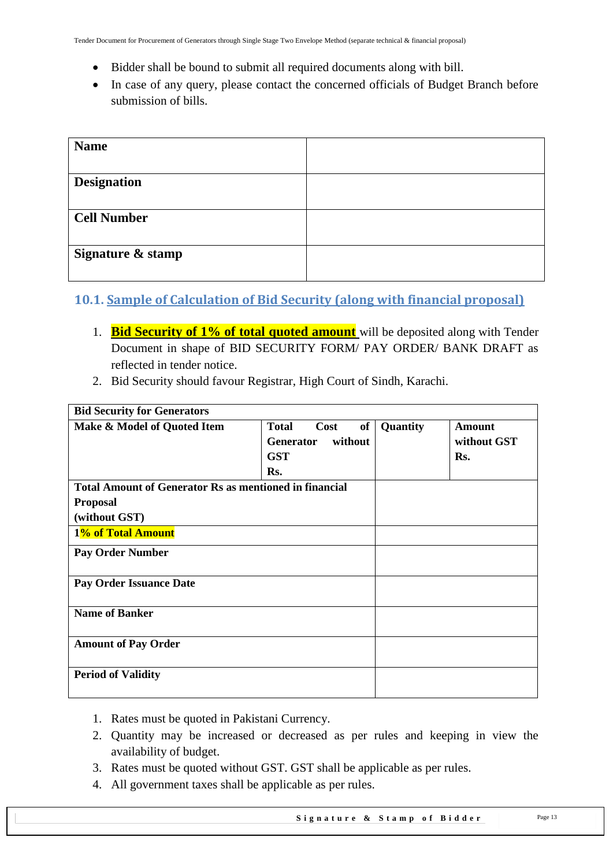- Bidder shall be bound to submit all required documents along with bill.
- In case of any query, please contact the concerned officials of Budget Branch before submission of bills.

| <b>Name</b>        |  |
|--------------------|--|
|                    |  |
| <b>Designation</b> |  |
|                    |  |
| <b>Cell Number</b> |  |
|                    |  |
| Signature & stamp  |  |
|                    |  |

### <span id="page-12-0"></span>**10.1. Sample of Calculation of Bid Security (along with financial proposal)**

- 1. **Bid Security of 1% of total quoted amount** will be deposited along with Tender Document in shape of BID SECURITY FORM/ PAY ORDER/ BANK DRAFT as reflected in tender notice.
- 2. Bid Security should favour Registrar, High Court of Sindh, Karachi.

| <b>Bid Security for Generators</b>                            |                                   |          |             |
|---------------------------------------------------------------|-----------------------------------|----------|-------------|
| Make & Model of Quoted Item                                   | Cost<br><b>of</b><br><b>Total</b> | Quantity | Amount      |
|                                                               | without<br><b>Generator</b>       |          | without GST |
|                                                               | <b>GST</b>                        |          | Rs.         |
|                                                               | Rs.                               |          |             |
| <b>Total Amount of Generator Rs as mentioned in financial</b> |                                   |          |             |
| <b>Proposal</b>                                               |                                   |          |             |
| (without GST)                                                 |                                   |          |             |
| 1% of Total Amount                                            |                                   |          |             |
| <b>Pay Order Number</b>                                       |                                   |          |             |
| <b>Pay Order Issuance Date</b>                                |                                   |          |             |
| <b>Name of Banker</b>                                         |                                   |          |             |
| <b>Amount of Pay Order</b>                                    |                                   |          |             |
| <b>Period of Validity</b>                                     |                                   |          |             |

- 1. Rates must be quoted in Pakistani Currency.
- 2. Quantity may be increased or decreased as per rules and keeping in view the availability of budget.
- 3. Rates must be quoted without GST. GST shall be applicable as per rules.
- 4. All government taxes shall be applicable as per rules.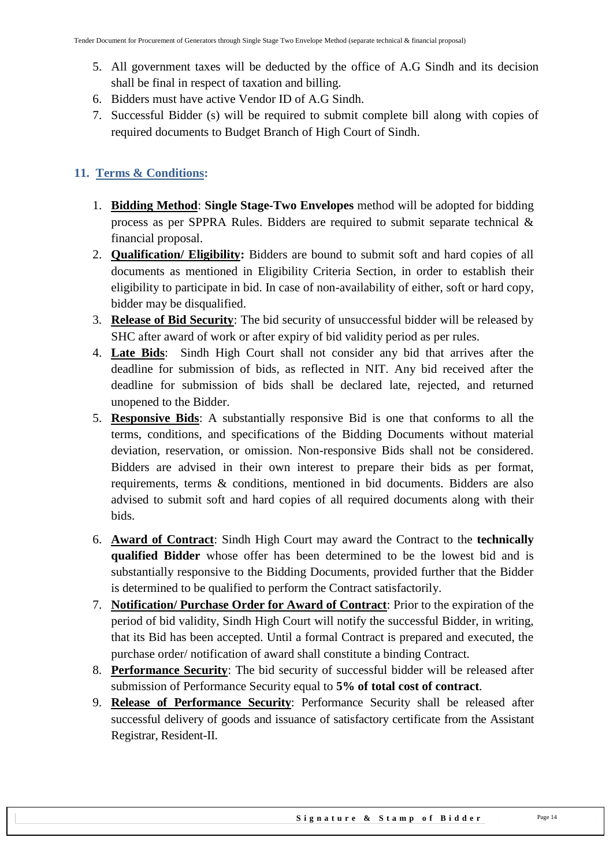- 5. All government taxes will be deducted by the office of A.G Sindh and its decision shall be final in respect of taxation and billing.
- 6. Bidders must have active Vendor ID of A.G Sindh.
- 7. Successful Bidder (s) will be required to submit complete bill along with copies of required documents to Budget Branch of High Court of Sindh.

### <span id="page-13-0"></span>**11. Terms & Conditions:**

- 1. **Bidding Method**: **Single Stage-Two Envelopes** method will be adopted for bidding process as per SPPRA Rules. Bidders are required to submit separate technical & financial proposal.
- 2. **Qualification/ Eligibility:** Bidders are bound to submit soft and hard copies of all documents as mentioned in Eligibility Criteria Section, in order to establish their eligibility to participate in bid. In case of non-availability of either, soft or hard copy, bidder may be disqualified.
- 3. **Release of Bid Security**: The bid security of unsuccessful bidder will be released by SHC after award of work or after expiry of bid validity period as per rules.
- 4. **Late Bids**: Sindh High Court shall not consider any bid that arrives after the deadline for submission of bids, as reflected in NIT. Any bid received after the deadline for submission of bids shall be declared late, rejected, and returned unopened to the Bidder.
- 5. **Responsive Bids**: A substantially responsive Bid is one that conforms to all the terms, conditions, and specifications of the Bidding Documents without material deviation, reservation, or omission. Non-responsive Bids shall not be considered. Bidders are advised in their own interest to prepare their bids as per format, requirements, terms & conditions, mentioned in bid documents. Bidders are also advised to submit soft and hard copies of all required documents along with their bids.
- 6. **Award of Contract**: Sindh High Court may award the Contract to the **technically qualified Bidder** whose offer has been determined to be the lowest bid and is substantially responsive to the Bidding Documents, provided further that the Bidder is determined to be qualified to perform the Contract satisfactorily.
- 7. **Notification/ Purchase Order for Award of Contract**: Prior to the expiration of the period of bid validity, Sindh High Court will notify the successful Bidder, in writing, that its Bid has been accepted. Until a formal Contract is prepared and executed, the purchase order/ notification of award shall constitute a binding Contract.
- 8. **Performance Security**: The bid security of successful bidder will be released after submission of Performance Security equal to **5% of total cost of contract**.
- 9. **Release of Performance Security**: Performance Security shall be released after successful delivery of goods and issuance of satisfactory certificate from the Assistant Registrar, Resident-II.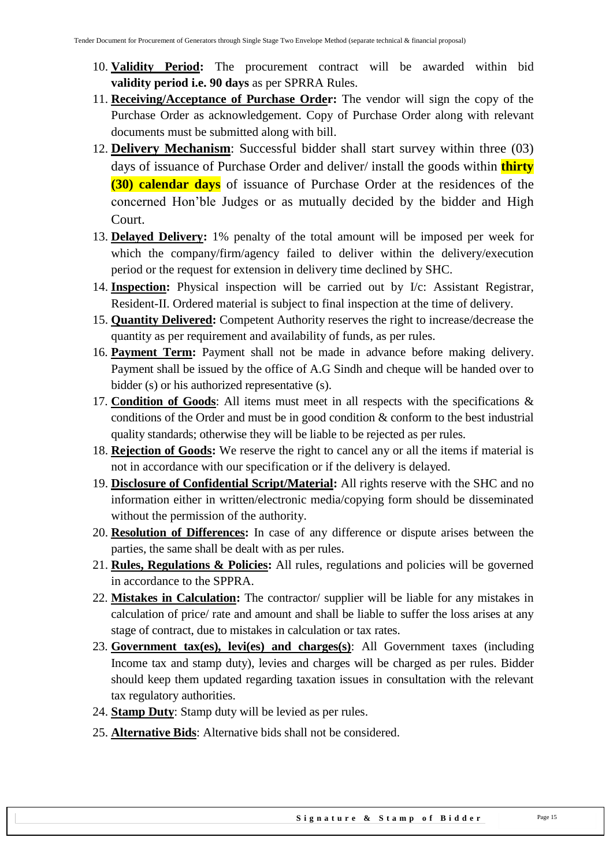- 10. **Validity Period:** The procurement contract will be awarded within bid **validity period i.e. 90 days** as per SPRRA Rules.
- 11. **Receiving/Acceptance of Purchase Order:** The vendor will sign the copy of the Purchase Order as acknowledgement. Copy of Purchase Order along with relevant documents must be submitted along with bill.
- 12. **Delivery Mechanism**: Successful bidder shall start survey within three (03) days of issuance of Purchase Order and deliver/ install the goods within **thirty (30) calendar days** of issuance of Purchase Order at the residences of the concerned Hon"ble Judges or as mutually decided by the bidder and High Court.
- 13. **Delayed Delivery:** 1% penalty of the total amount will be imposed per week for which the company/firm/agency failed to deliver within the delivery/execution period or the request for extension in delivery time declined by SHC.
- 14. **Inspection:** Physical inspection will be carried out by I/c: Assistant Registrar, Resident-II. Ordered material is subject to final inspection at the time of delivery.
- 15. **Quantity Delivered:** Competent Authority reserves the right to increase/decrease the quantity as per requirement and availability of funds, as per rules.
- 16. **Payment Term:** Payment shall not be made in advance before making delivery. Payment shall be issued by the office of A.G Sindh and cheque will be handed over to bidder (s) or his authorized representative (s).
- 17. **Condition of Goods**: All items must meet in all respects with the specifications & conditions of the Order and must be in good condition & conform to the best industrial quality standards; otherwise they will be liable to be rejected as per rules.
- 18. **Rejection of Goods:** We reserve the right to cancel any or all the items if material is not in accordance with our specification or if the delivery is delayed.
- 19. **Disclosure of Confidential Script/Material:** All rights reserve with the SHC and no information either in written/electronic media/copying form should be disseminated without the permission of the authority.
- 20. **Resolution of Differences:** In case of any difference or dispute arises between the parties, the same shall be dealt with as per rules.
- 21. **Rules, Regulations & Policies:** All rules, regulations and policies will be governed in accordance to the SPPRA.
- 22. **Mistakes in Calculation:** The contractor/ supplier will be liable for any mistakes in calculation of price/ rate and amount and shall be liable to suffer the loss arises at any stage of contract, due to mistakes in calculation or tax rates.
- 23. **Government tax(es), levi(es) and charges(s)**: All Government taxes (including Income tax and stamp duty), levies and charges will be charged as per rules. Bidder should keep them updated regarding taxation issues in consultation with the relevant tax regulatory authorities.
- 24. **Stamp Duty**: Stamp duty will be levied as per rules.
- 25. **Alternative Bids**: Alternative bids shall not be considered.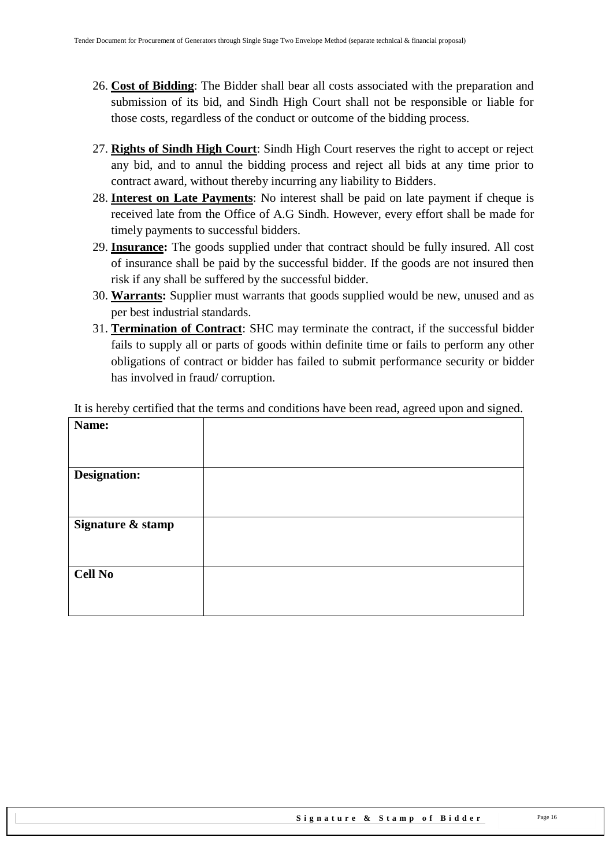- 26. **Cost of Bidding**: The Bidder shall bear all costs associated with the preparation and submission of its bid, and Sindh High Court shall not be responsible or liable for those costs, regardless of the conduct or outcome of the bidding process.
- 27. **Rights of Sindh High Court**: Sindh High Court reserves the right to accept or reject any bid, and to annul the bidding process and reject all bids at any time prior to contract award, without thereby incurring any liability to Bidders.
- 28. **Interest on Late Payments**: No interest shall be paid on late payment if cheque is received late from the Office of A.G Sindh. However, every effort shall be made for timely payments to successful bidders.
- 29. **Insurance:** The goods supplied under that contract should be fully insured. All cost of insurance shall be paid by the successful bidder. If the goods are not insured then risk if any shall be suffered by the successful bidder.
- 30. **Warrants:** Supplier must warrants that goods supplied would be new, unused and as per best industrial standards.
- 31. **Termination of Contract**: SHC may terminate the contract, if the successful bidder fails to supply all or parts of goods within definite time or fails to perform any other obligations of contract or bidder has failed to submit performance security or bidder has involved in fraud/ corruption.

It is hereby certified that the terms and conditions have been read, agreed upon and signed.

| Name:               |  |
|---------------------|--|
|                     |  |
|                     |  |
|                     |  |
| <b>Designation:</b> |  |
|                     |  |
|                     |  |
|                     |  |
| Signature & stamp   |  |
|                     |  |
|                     |  |
|                     |  |
| <b>Cell No</b>      |  |
|                     |  |
|                     |  |
|                     |  |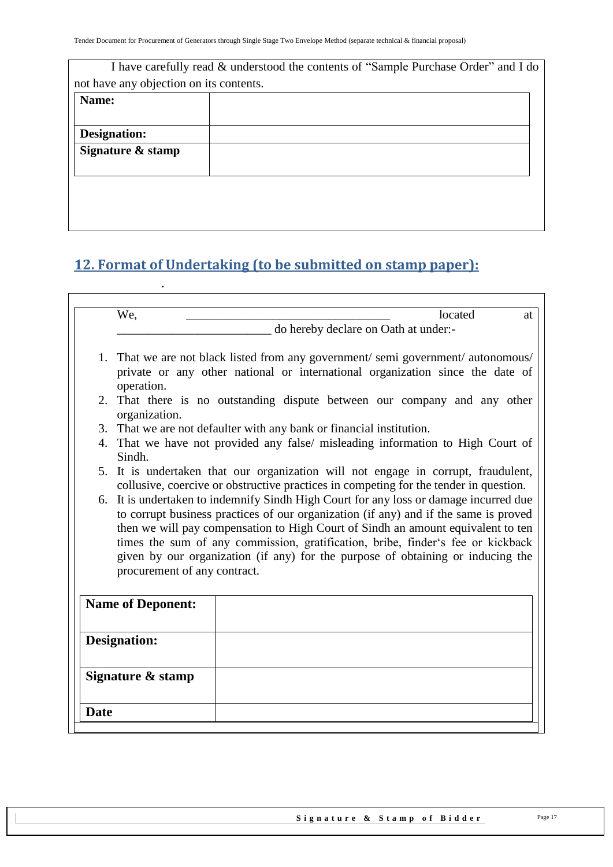|                                         | I have carefully read & understood the contents of "Sample Purchase Order" and I do |
|-----------------------------------------|-------------------------------------------------------------------------------------|
| not have any objection on its contents. |                                                                                     |
| Name:                                   |                                                                                     |
|                                         |                                                                                     |
| Designation:                            |                                                                                     |
| Signature & stamp                       |                                                                                     |
|                                         |                                                                                     |
|                                         |                                                                                     |
|                                         |                                                                                     |
|                                         |                                                                                     |

# <span id="page-16-0"></span>**12. Format of Undertaking (to be submitted on stamp paper):**

.

| We,<br>located<br>at                                                                                                                                                                                                                                                                                                                                                                                                                                                    |
|-------------------------------------------------------------------------------------------------------------------------------------------------------------------------------------------------------------------------------------------------------------------------------------------------------------------------------------------------------------------------------------------------------------------------------------------------------------------------|
| do hereby declare on Oath at under:-                                                                                                                                                                                                                                                                                                                                                                                                                                    |
| 1. That we are not black listed from any government/semi government/autonomous/<br>private or any other national or international organization since the date of                                                                                                                                                                                                                                                                                                        |
| operation.                                                                                                                                                                                                                                                                                                                                                                                                                                                              |
| 2. That there is no outstanding dispute between our company and any other<br>organization.                                                                                                                                                                                                                                                                                                                                                                              |
| 3. That we are not defaulter with any bank or financial institution.                                                                                                                                                                                                                                                                                                                                                                                                    |
| 4. That we have not provided any false/ misleading information to High Court of<br>Sindh.                                                                                                                                                                                                                                                                                                                                                                               |
| 5. It is undertaken that our organization will not engage in corrupt, fraudulent,<br>collusive, coercive or obstructive practices in competing for the tender in question.                                                                                                                                                                                                                                                                                              |
| 6. It is undertaken to indemnify Sindh High Court for any loss or damage incurred due<br>to corrupt business practices of our organization (if any) and if the same is proved<br>then we will pay compensation to High Court of Sindh an amount equivalent to ten<br>times the sum of any commission, gratification, bribe, finder's fee or kickback<br>given by our organization (if any) for the purpose of obtaining or inducing the<br>procurement of any contract. |
| <b>Name of Deponent:</b>                                                                                                                                                                                                                                                                                                                                                                                                                                                |
| <b>Designation:</b>                                                                                                                                                                                                                                                                                                                                                                                                                                                     |
| Signature & stamp                                                                                                                                                                                                                                                                                                                                                                                                                                                       |
|                                                                                                                                                                                                                                                                                                                                                                                                                                                                         |